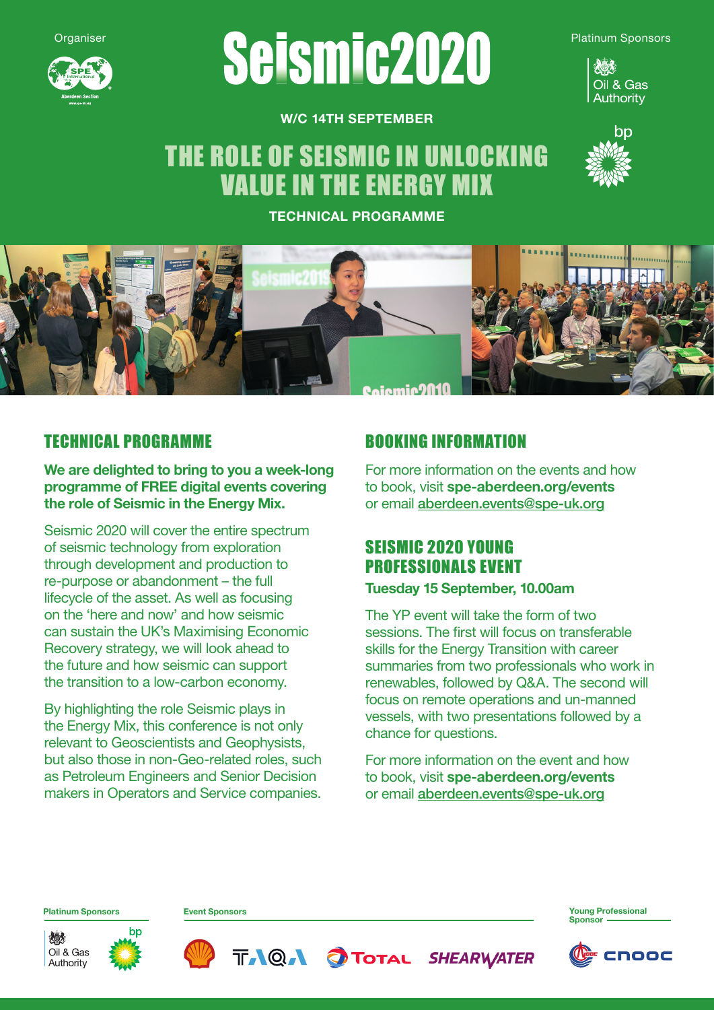

# **Organiser Seisming2020** Platinum Sponsors



W/C 14TH SEPTEMBER

# THE ROLE OF SEISMIC IN UNLOCKING VALUE IN THE ENERGY MIX



TECHNICAL PROGRAMME



### TECHNICAL PROGRAMME

We are delighted to bring to you a week-long programme of FREE digital events covering the role of Seismic in the Energy Mix.

Seismic 2020 will cover the entire spectrum of seismic technology from exploration through development and production to re-purpose or abandonment – the full lifecycle of the asset. As well as focusing on the 'here and now' and how seismic can sustain the UK's Maximising Economic Recovery strategy, we will look ahead to the future and how seismic can support the transition to a low-carbon economy.

By highlighting the role Seismic plays in the Energy Mix, this conference is not only relevant to Geoscientists and Geophysists, but also those in non-Geo-related roles, such as Petroleum Engineers and Senior Decision makers in Operators and Service companies.

### BOOKING INFORMATION

For more information on the events and how to book, visit spe-aberdeen.org/events or email aberdeen.events@spe-uk.org

## SEISMIC 2020 YOUNG PROFESSIONALS EVENT

#### Tuesday 15 September, 10.00am

The YP event will take the form of two sessions. The first will focus on transferable skills for the Energy Transition with career summaries from two professionals who work in renewables, followed by Q&A. The second will focus on remote operations and un-manned vessels, with two presentations followed by a chance for questions.

For more information on the event and how to book, visit spe-aberdeen.org/events or email aberdeen.events@spe-uk.org

Platinum Sponsors Event Sponsors Young Professional









**Sponsor**